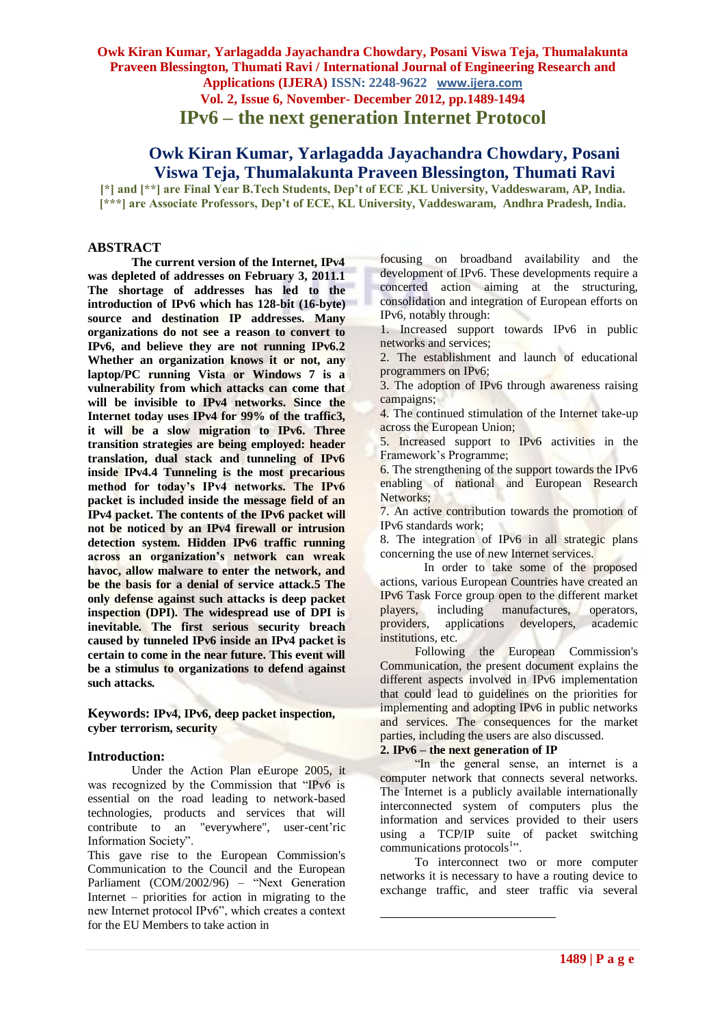**Vol. 2, Issue 6, November- December 2012, pp.1489-1494**

**IPv6 – the next generation Internet Protocol**

# **Owk Kiran Kumar, Yarlagadda Jayachandra Chowdary, Posani Viswa Teja, Thumalakunta Praveen Blessington, Thumati Ravi**

**[\*] and [\*\*] are Final Year B.Tech Students, Dep't of ECE ,KL University, Vaddeswaram, AP, India. [\*\*\*] are Associate Professors, Dep't of ECE, KL University, Vaddeswaram, Andhra Pradesh, India.**

# **ABSTRACT**

**The current version of the Internet, IPv4 was depleted of addresses on February 3, 2011.1 The shortage of addresses has led to the introduction of IPv6 which has 128-bit (16-byte) source and destination IP addresses. Many organizations do not see a reason to convert to IPv6, and believe they are not running IPv6.2 Whether an organization knows it or not, any laptop/PC running Vista or Windows 7 is a vulnerability from which attacks can come that will be invisible to IPv4 networks. Since the Internet today uses IPv4 for 99% of the traffic3, it will be a slow migration to IPv6. Three transition strategies are being employed: header translation, dual stack and tunneling of IPv6 inside IPv4.4 Tunneling is the most precarious method for today's IPv4 networks. The IPv6 packet is included inside the message field of an IPv4 packet. The contents of the IPv6 packet will not be noticed by an IPv4 firewall or intrusion detection system. Hidden IPv6 traffic running across an organization's network can wreak havoc, allow malware to enter the network, and be the basis for a denial of service attack.5 The only defense against such attacks is deep packet inspection (DPI). The widespread use of DPI is inevitable. The first serious security breach caused by tunneled IPv6 inside an IPv4 packet is certain to come in the near future. This event will be a stimulus to organizations to defend against such attacks.**

**Keywords: IPv4, IPv6, deep packet inspection, cyber terrorism, security**

#### **Introduction:**

Under the Action Plan eEurope 2005, it was recognized by the Commission that "IPv6 is essential on the road leading to network-based technologies, products and services that will contribute to an "everywhere", user-cent'ric Information Society".

This gave rise to the European Commission's Communication to the Council and the European Parliament (COM/2002/96) – "Next Generation Internet – priorities for action in migrating to the new Internet protocol IPv6", which creates a context for the EU Members to take action in

focusing on broadband availability and the development of IPv6. These developments require a concerted action aiming at the structuring, consolidation and integration of European efforts on IPv6, notably through:

1. Increased support towards IPv6 in public networks and services;

2. The establishment and launch of educational programmers on IPv6;

3. The adoption of IPv6 through awareness raising campaigns;

4. The continued stimulation of the Internet take-up across the European Union;

5. Increased support to IPv6 activities in the Framework's Programme;

6. The strengthening of the support towards the IPv6 enabling of national and European Research Networks:

7. An active contribution towards the promotion of IPv6 standards work;

8. The integration of IPv6 in all strategic plans concerning the use of new Internet services.

In order to take some of the proposed actions, various European Countries have created an IPv6 Task Force group open to the different market including manufactures, operators, providers, applications developers, academic institutions, etc.

Following the European Commission's Communication, the present document explains the different aspects involved in IPv6 implementation that could lead to guidelines on the priorities for implementing and adopting IPv6 in public networks and services. The consequences for the market parties, including the users are also discussed.

#### **2. IPv6 – the next generation of IP**

<u>.</u>

"In the general sense, an internet is a computer network that connects several networks. The Internet is a publicly available internationally interconnected system of computers plus the information and services provided to their users using a TCP/IP suite of packet switching communications protocols<sup>1</sup>".

To interconnect two or more computer networks it is necessary to have a routing device to exchange traffic, and steer traffic via several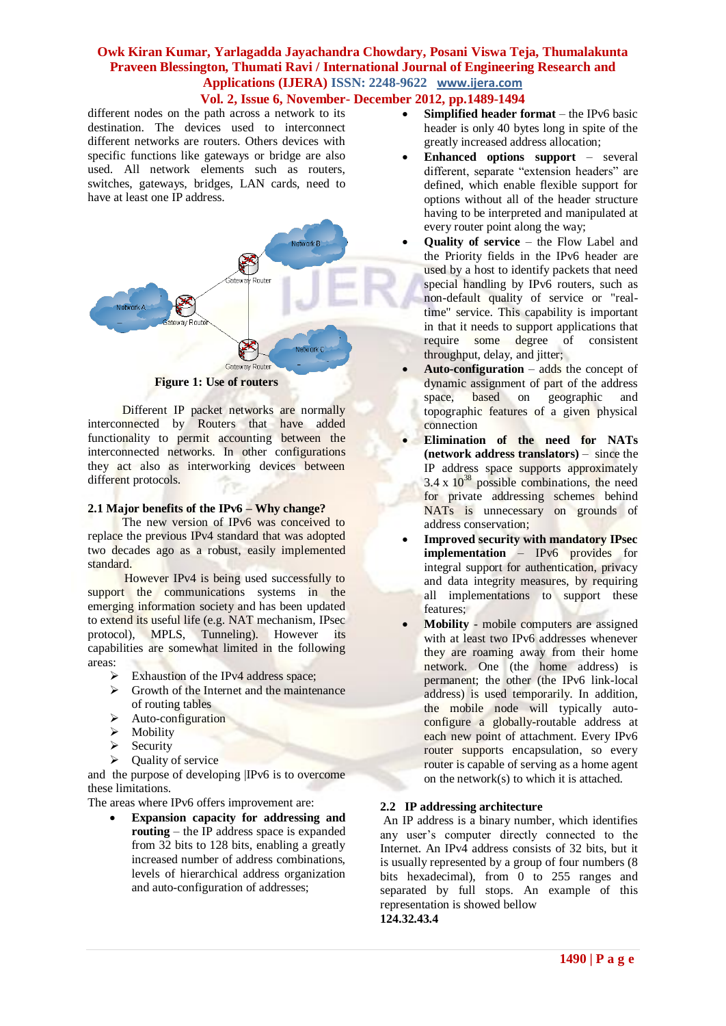**Vol. 2, Issue 6, November- December 2012, pp.1489-1494**

different nodes on the path across a network to its destination. The devices used to interconnect different networks are routers. Others devices with specific functions like gateways or bridge are also used. All network elements such as routers, switches, gateways, bridges, LAN cards, need to have at least one IP address.



**Figure 1: Use of routers**

Different IP packet networks are normally interconnected by Routers that have added functionality to permit accounting between the interconnected networks. In other configurations they act also as interworking devices between different protocols.

# **2.1 Major benefits of the IPv6 – Why change?**

The new version of IPv6 was conceived to replace the previous IPv4 standard that was adopted two decades ago as a robust, easily implemented standard.

 However IPv4 is being used successfully to support the communications systems in the emerging information society and has been updated to extend its useful life (e.g. NAT mechanism, IPsec protocol), MPLS, Tunneling). However its capabilities are somewhat limited in the following areas:

- Exhaustion of the IPv4 address space;
- $\triangleright$  Growth of the Internet and the maintenance of routing tables
- $\blacktriangleright$  Auto-configuration
- $\triangleright$  Mobility
- $\triangleright$  Security
- $\triangleright$  Quality of service

and the purpose of developing |IPv6 is to overcome these limitations.

The areas where IPv6 offers improvement are:

 **Expansion capacity for addressing and routing** – the IP address space is expanded from 32 bits to 128 bits, enabling a greatly increased number of address combinations, levels of hierarchical address organization and auto-configuration of addresses;

- **Simplified header format** the IPv6 basic header is only 40 bytes long in spite of the greatly increased address allocation;
- **Enhanced options support** several different, separate "extension headers" are defined, which enable flexible support for options without all of the header structure having to be interpreted and manipulated at every router point along the way;
- **Quality of service** the Flow Label and the Priority fields in the IPv6 header are used by a host to identify packets that need special handling by IPv6 routers, such as non-default quality of service or "realtime" service. This capability is important in that it needs to support applications that require some degree of consistent throughput, delay, and jitter;
- **Auto-configuration** adds the concept of dynamic assignment of part of the address space, based on geographic and topographic features of a given physical connection
- **Elimination of the need for NATs (network address translators)** – since the IP address space supports approximately  $3.4 \times 10^{38}$  possible combinations, the need for private addressing schemes behind NATs is unnecessary on grounds of address conservation;
- **Improved security with mandatory IPsec implementation** – IPv6 provides for integral support for authentication, privacy and data integrity measures, by requiring all implementations to support these features;
- **Mobility** mobile computers are assigned with at least two IPv6 addresses whenever they are roaming away from their home network. One (the home address) is permanent; the other (the IPv6 link-local address) is used temporarily. In addition, the mobile node will typically autoconfigure a globally-routable address at each new point of attachment. Every IPv6 router supports encapsulation, so every router is capable of serving as a home agent on the network(s) to which it is attached.

# **2.2 IP addressing architecture**

An IP address is a binary number, which identifies any user's computer directly connected to the Internet. An IPv4 address consists of 32 bits, but it is usually represented by a group of four numbers (8 bits hexadecimal), from 0 to 255 ranges and separated by full stops. An example of this representation is showed bellow **124.32.43.4**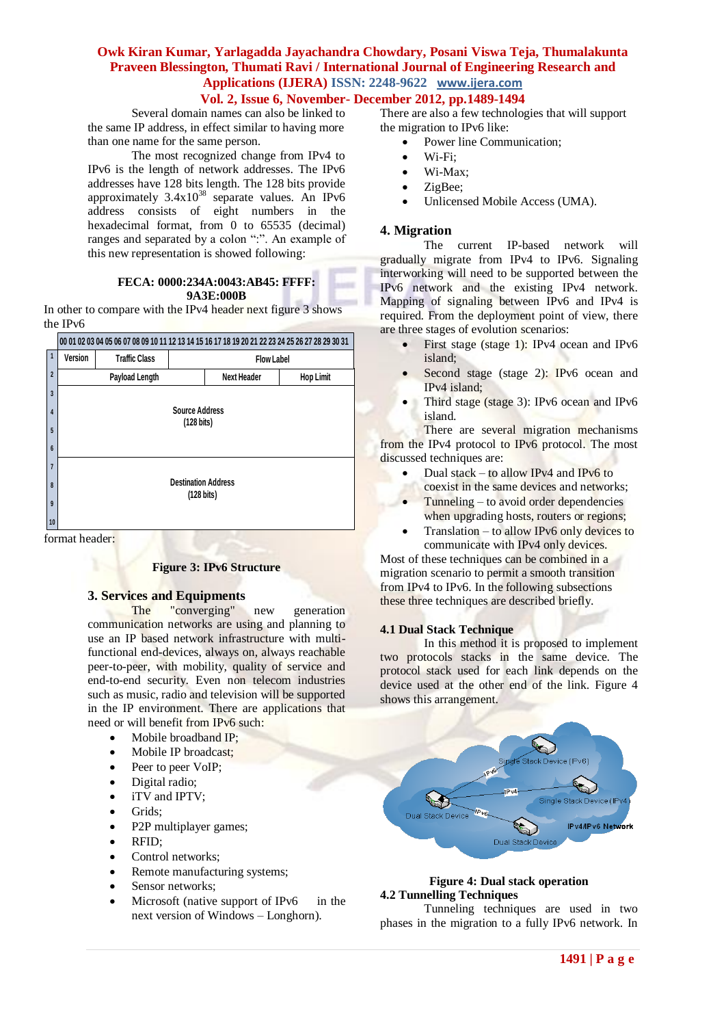# **Vol. 2, Issue 6, November- December 2012, pp.1489-1494**

Several domain names can also be linked to the same IP address, in effect similar to having more than one name for the same person.

The most recognized change from IPv4 to IPv6 is the length of network addresses. The IPv6 addresses have 128 bits length. The 128 bits provide approximately  $3.4x10^{38}$  separate values. An IPv6 address consists of eight numbers in the hexadecimal format, from 0 to 65535 (decimal) ranges and separated by a colon ":". An example of this new representation is showed following:

#### **FECA: 0000:234A:0043:AB45: FFFF: 9A3E:000B**

In other to compare with the IPv4 header next figure 3 shows the IPv6

# **00 01 02 03 04 05 06 07 08 09 10 11 12 13 14 15 16 17 18 19 20 21 22 23 24 25 26 27 28 29 30 31**

|                               | Π              | Version                                  | <b>Traffic Class</b> | <b>Flow Label</b> |                    |                  |
|-------------------------------|----------------|------------------------------------------|----------------------|-------------------|--------------------|------------------|
|                               | $\overline{2}$ |                                          | Payload Length       |                   | <b>Next Header</b> | <b>Hop Limit</b> |
|                               | $\overline{3}$ |                                          |                      |                   |                    |                  |
|                               | $\overline{4}$ | <b>Source Address</b>                    |                      |                   |                    |                  |
|                               | 5              | (128 bits)                               |                      |                   |                    |                  |
|                               | $6\phantom{a}$ |                                          |                      |                   |                    |                  |
|                               | $\overline{7}$ | <b>Destination Address</b><br>(128 bits) |                      |                   |                    |                  |
|                               | 8              |                                          |                      |                   |                    |                  |
|                               | 9              |                                          |                      |                   |                    |                  |
|                               | 10             |                                          |                      |                   |                    |                  |
| $\epsilon$<br>л.<br>$\sim$ 1. |                |                                          |                      |                   |                    |                  |

format header:

# **Figure 3: IPv6 Structure**

# **3. Services and Equipments**

The "converging" new generation communication networks are using and planning to use an IP based network infrastructure with multifunctional end-devices, always on, always reachable peer-to-peer, with mobility, quality of service and end-to-end security. Even non telecom industries such as music, radio and television will be supported in the IP environment. There are applications that need or will benefit from IPv6 such:

- Mobile broadband IP;
- Mobile IP broadcast;
- Peer to peer VoIP;
- Digital radio;
- iTV and IPTV:
- Grids:
- P2P multiplayer games;
- RFID:
- Control networks;
- Remote manufacturing systems;
- Sensor networks;
- Microsoft (native support of IPv6 in the next version of Windows – Longhorn).

There are also a few technologies that will support the migration to IPv6 like:

- Power line Communication;
- Wi-Fi;
- Wi-Max;
- ZigBee;
- Unlicensed Mobile Access (UMA).

#### **4. Migration**

The current IP-based network will gradually migrate from IPv4 to IPv6. Signaling interworking will need to be supported between the IPv6 network and the existing IPv4 network. Mapping of signaling between IPv6 and IPv4 is required. From the deployment point of view, there are three stages of evolution scenarios:

- First stage (stage 1): IPv4 ocean and IPv6 island;
- Second stage (stage 2): IPv6 ocean and IPv4 island;
- Third stage (stage 3): IPv6 ocean and IPv6 island.

There are several migration mechanisms from the IPv4 protocol to IPv6 protocol. The most discussed techniques are:

- Dual stack to allow IPv4 and IPv6 to coexist in the same devices and networks;
- Tunneling to avoid order dependencies when upgrading hosts, routers or regions;
- Translation to allow IPv6 only devices to communicate with IPv4 only devices.

Most of these techniques can be combined in a migration scenario to permit a smooth transition from IPv4 to IPv6. In the following subsections these three techniques are described briefly.

#### **4.1 Dual Stack Technique**

In this method it is proposed to implement two protocols stacks in the same device. The protocol stack used for each link depends on the device used at the other end of the link. Figure 4 shows this arrangement.



#### **Figure 4: Dual stack operation 4.2 Tunnelling Techniques**

Tunneling techniques are used in two phases in the migration to a fully IPv6 network. In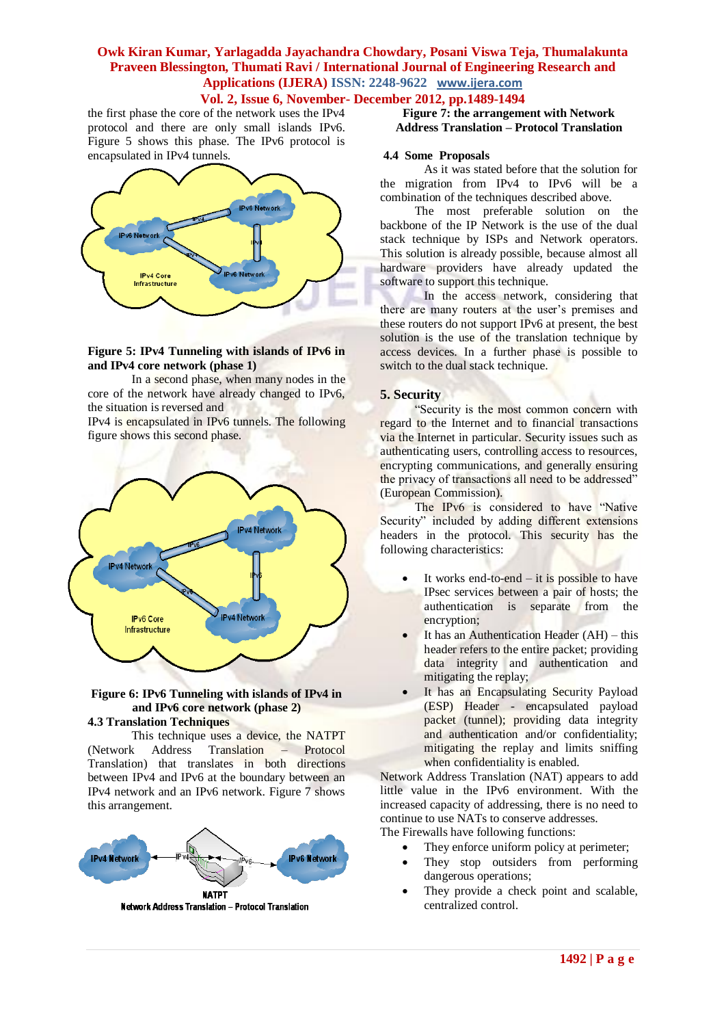# **Vol. 2, Issue 6, November- December 2012, pp.1489-1494**

the first phase the core of the network uses the IPv4 protocol and there are only small islands IPv6. Figure 5 shows this phase. The IPv6 protocol is encapsulated in IPv4 tunnels.



#### **Figure 5: IPv4 Tunneling with islands of IPv6 in and IPv4 core network (phase 1)**

In a second phase, when many nodes in the core of the network have already changed to IPv6, the situation is reversed and

IPv4 is encapsulated in IPv6 tunnels. The following figure shows this second phase.



#### **Figure 6: IPv6 Tunneling with islands of IPv4 in and IPv6 core network (phase 2) 4.3 Translation Techniques**

This technique uses a device, the NATPT (Network Address Translation – Protocol Translation) that translates in both directions between IPv4 and IPv6 at the boundary between an IPv4 network and an IPv6 network. Figure 7 shows this arrangement.



#### Network Address Translation - Protocol Translation

**Figure 7: the arrangement with Network Address Translation – Protocol Translation**

#### **4.4 Some Proposals**

As it was stated before that the solution for the migration from IPv4 to IPv6 will be a combination of the techniques described above.

The most preferable solution on the backbone of the IP Network is the use of the dual stack technique by ISPs and Network operators. This solution is already possible, because almost all hardware providers have already updated the software to support this technique.

In the access network, considering that there are many routers at the user's premises and these routers do not support IPv6 at present, the best solution is the use of the translation technique by access devices. In a further phase is possible to switch to the dual stack technique.

#### **5. Security**

"Security is the most common concern with regard to the Internet and to financial transactions via the Internet in particular. Security issues such as authenticating users, controlling access to resources, encrypting communications, and generally ensuring the privacy of transactions all need to be addressed" (European Commission).

The IPv6 is considered to have "Native Security" included by adding different extensions headers in the protocol. This security has the following characteristics:

- It works end-to-end it is possible to have IPsec services between a pair of hosts; the authentication is separate from the encryption;
- It has an Authentication Header (AH) this header refers to the entire packet; providing data integrity and authentication and mitigating the replay;
- It has an Encapsulating Security Payload (ESP) Header - encapsulated payload packet (tunnel); providing data integrity and authentication and/or confidentiality; mitigating the replay and limits sniffing when confidentiality is enabled.

Network Address Translation (NAT) appears to add little value in the IPv6 environment. With the increased capacity of addressing, there is no need to continue to use NATs to conserve addresses. The Firewalls have following functions:

- They enforce uniform policy at perimeter; They stop outsiders from performing
- dangerous operations;
- They provide a check point and scalable, centralized control.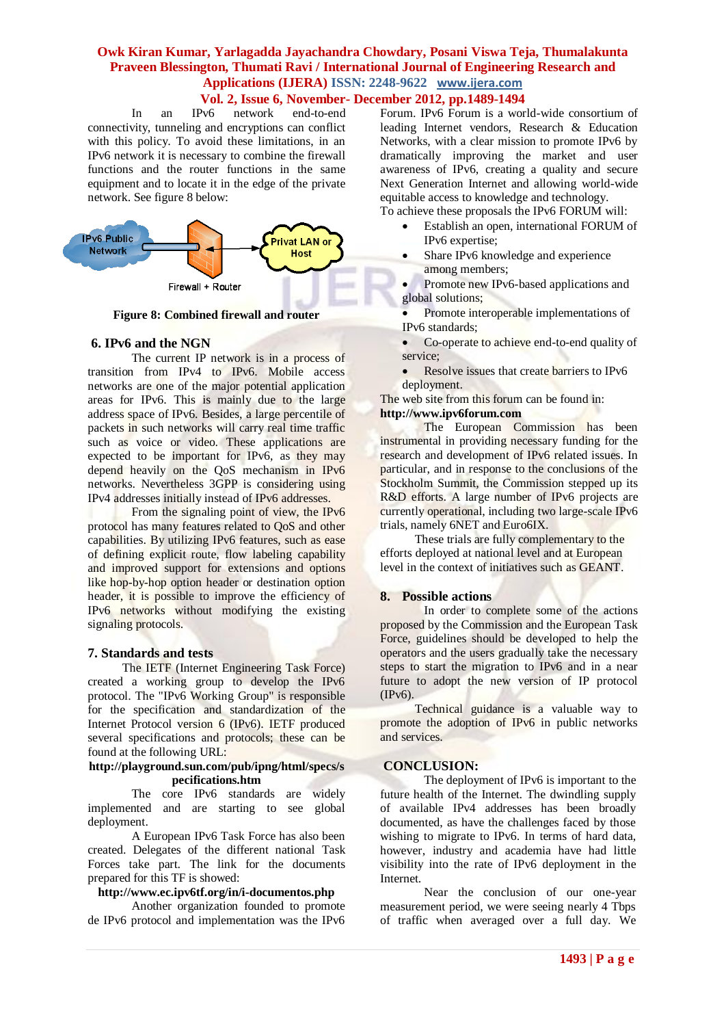# **Vol. 2, Issue 6, November- December 2012, pp.1489-1494**

In an IPv6 network end-to-end connectivity, tunneling and encryptions can conflict with this policy. To avoid these limitations, in an IPv6 network it is necessary to combine the firewall functions and the router functions in the same equipment and to locate it in the edge of the private network. See figure 8 below:



**Figure 8: Combined firewall and router**

# **6. IPv6 and the NGN**

The current IP network is in a process of transition from IPv4 to IPv6. Mobile access networks are one of the major potential application areas for IPv6. This is mainly due to the large address space of IPv6. Besides, a large percentile of packets in such networks will carry real time traffic such as voice or video. These applications are expected to be important for IPv6, as they may depend heavily on the QoS mechanism in IPv6 networks. Nevertheless 3GPP is considering using IPv4 addresses initially instead of IPv6 addresses.

From the signaling point of view, the IPv6 protocol has many features related to QoS and other capabilities. By utilizing IPv6 features, such as ease of defining explicit route, flow labeling capability and improved support for extensions and options like hop-by-hop option header or destination option header, it is possible to improve the efficiency of IPv6 networks without modifying the existing signaling protocols.

#### **7. Standards and tests**

The IETF (Internet Engineering Task Force) created a working group to develop the IPv6 protocol. The "IPv6 Working Group" is responsible for the specification and standardization of the Internet Protocol version 6 (IPv6). IETF produced several specifications and protocols; these can be found at the following URL:

#### **http://playground.sun.com/pub/ipng/html/specs/s pecifications.htm**

The core IPv6 standards are widely implemented and are starting to see global deployment.

A European IPv6 Task Force has also been created. Delegates of the different national Task Forces take part. The link for the documents prepared for this TF is showed:

# **http://www.ec.ipv6tf.org/in/i-documentos.php**

Another organization founded to promote de IPv6 protocol and implementation was the IPv6 Forum. IPv6 Forum is a world-wide consortium of leading Internet vendors, Research & Education Networks, with a clear mission to promote IPv6 by dramatically improving the market and user awareness of IPv6, creating a quality and secure Next Generation Internet and allowing world-wide equitable access to knowledge and technology. To achieve these proposals the IPv6 FORUM will:

- Establish an open, international FORUM of IPv6 expertise;
- Share IPv6 knowledge and experience among members;

 Promote new IPv6-based applications and global solutions;

- Promote interoperable implementations of IPv6 standards;
- Co-operate to achieve end-to-end quality of service;
- Resolve issues that create barriers to IPv6 deployment.

The web site from this forum can be found in: **http://www.ipv6forum.com**

The European Commission has been instrumental in providing necessary funding for the research and development of IPv6 related issues. In particular, and in response to the conclusions of the Stockholm Summit, the Commission stepped up its R&D efforts. A large number of IPv6 projects are currently operational, including two large-scale IPv6 trials, namely 6NET and Euro6IX.

These trials are fully complementary to the efforts deployed at national level and at European level in the context of initiatives such as GEANT.

# **8. Possible actions**

In order to complete some of the actions proposed by the Commission and the European Task Force, guidelines should be developed to help the operators and the users gradually take the necessary steps to start the migration to IPv6 and in a near future to adopt the new version of IP protocol (IPv6).

Technical guidance is a valuable way to promote the adoption of IPv6 in public networks and services.

#### **CONCLUSION:**

The deployment of IPv6 is important to the future health of the Internet. The dwindling supply of available IPv4 addresses has been broadly documented, as have the challenges faced by those wishing to migrate to IPv6. In terms of hard data, however, industry and academia have had little visibility into the rate of IPv6 deployment in the Internet.

Near the conclusion of our one-year measurement period, we were seeing nearly 4 Tbps of traffic when averaged over a full day. We